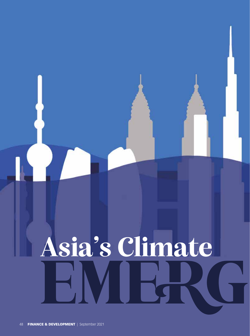# **Asia's Climate** EMERG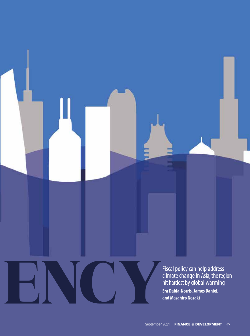Fiscal policy can help address climate change in Asia, the region hit hardest by global warming Fiscal policy can help addre<br>climate change in Asia, the<br>hit hardest by global warmi<br>ra Dabla-Norris, James Daniel,<br>and Masahiro Nozaki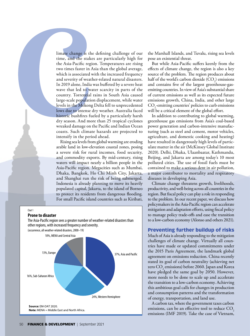limate change is the defining challenge of our time, and the stakes are particularly high for the Asia-Pacific region. Temperatures are rising two times faster in Asia than the global average, which is associated with the increased frequency and severity of weather-related natural disasters. In 2019 alone, India was buffeted by a severe heat wave that led to water scarcity in parts of the country. Torrential rains in South Asia caused large-scale population displacement, while water levels in the Mekong Delta fell to unprecedented lows due to intense dry weather. Australia faced historic bushfires fueled by a particularly harsh dry season. And more than 25 tropical cyclones wreaked damage on the Pacific and Indian Ocean coasts. Such climate hazards are projected to intensify in the period ahead.

Rising sea levels from global warming are eroding arable land in low-elevation coastal zones, posing a severe risk for rural incomes, food security, and commodity exports. By mid-century, rising waters will impact nearly a billion people in the Asia-Pacific region. Megacities such as Mumbai, Dhaka, Bangkok, Ho Chi Minh City, Jakarta, and Shanghai run the risk of being submerged. Indonesia is already planning to move its heavily populated capital, Jakarta, to the island of Borneo to protect its residents from dangerous flooding. For small Pacific island countries such as Kiribati,



the Marshall Islands, and Tuvalu, rising sea levels pose an existential threat.

But while Asia-Pacific suffers keenly from the effects of climate change, the region is also a key source of the problem. The region produces about half of the world's carbon dioxide  $(CO_2)$  emissions and contains five of the largest greenhouse-gasemitting countries. In view of Asia's substantial share of current emissions as well as its expected future emissions growth, China, India, and other large CO<sub>2</sub>-emitting countries' policies to curb emissions will be a critical element of the global effort.

In addition to contributing to global warming, greenhouse gas emissions from Asia's coal-based power generation and carbon-intensive manufacturing (such as steel and cement, motor vehicles, agriculture, and domestic cooking and heating) have resulted in dangerously high levels of particulate matter in the air (McKinsey Global Institute 2020). Delhi, Dhaka, Ulaanbaatar, Kathmandu, Beijing, and Jakarta are among today's 10 most polluted cities. The use of fossil fuels must be contained to make a serious dent in air pollution, a major contributor to mortality and respiratory diseases in developing Asia.

Climate change threatens growth, livelihoods, productivity, and well-being across all countries in the region. But fiscal policy can play a role in responding to the problem. In our recent paper, we discuss how policymakers in the Asia-Pacific region can accelerate mitigation and adaptation efforts, using fiscal policy to manage policy trade-offs and ease the transition to a low-carbon economy (Alonso and others 2021).

# Preventing further buildup of risks

Much of Asia is already responding to the mitigation challenges of climate change. Virtually all countries have made or updated commitments under the 2015 Paris Agreement, the landmark global agreement on emissions reduction. China recently stated its goal of carbon neutrality (achieving net zero  $\mathrm{CO}_2$  emissions) before 2060. Japan and Korea have pledged the same goal by 2050. However, more needs to be done to scale up and accelerate the transition to a low-carbon economy. Achieving this ambitious goal calls for changes in production and consumption patterns and the transformation of energy, transportation, and land use.

A carbon tax, where the government taxes carbon emissions, can be an effective tool to reduce CO<sub>2</sub> emissions (IMF 2019). Take the case of Vietnam,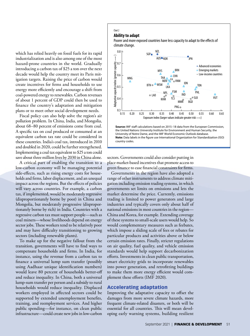which has relied heavily on fossil fuels for its rapid industrialization and is also among one of the most hazard-prone countries in the world. Gradually introducing a carbon tax of \$25 a ton over the next decade would help the country meet its Paris mitigation targets. Raising the price of carbon would create incentives for firms and households to use energy more efficiently and encourage a shift from coal-powered energy to renewables. Carbon revenues of about 1 percent of GDP could then be used to finance the country's adaptation and mitigation plans or to meet other social development needs.

Fiscal policy can also help solve the region's air pollution problem. In China, India, and Mongolia, about 68–80 percent of emissions come from coal. A specific tax on coal produced or consumed at an equivalent carbon tax rate could be considered in these countries. India's coal tax, introduced in 2010 and doubled in 2020, could be further strengthened. Implementing a coal tax equivalent to \$25 a ton could save about three million lives by 2030 in China alone.

A critical part of enabling the transition to a low-carbon economy will be managing potential side-effects, such as rising energy costs for households and firms, labor displacement, and an unequal impact across the regions. But the effects of policies will vary across countries. For example, a carbon tax, if implemented, would be moderately regressive (disproportionately borne by poor) in China and Mongolia, but moderately progressive (disproportionately borne by rich) in India. Countries with a regressive carbon tax must support people—such as coal miners—whose livelihoods depend on energy sector jobs. These workers tend to be relatively poor and may have difficulty transitioning to growing sectors (including renewable plants).

To make up for the negative fallout from the transition, governments will have to find ways to compensate households and firms. In India, for instance, using the revenue from a carbon tax to finance a universal lump sum transfer (possibly using Aadhaar unique identification numbers) would leave 80 percent of households better-off and reduce inequality. In China, both a universal lump-sum transfer per person and a subsidy to rural households would reduce inequality. Displaced workers employed in affected sectors could be supported by extended unemployment benefits, training, and reemployment services. And higher public spending—for instance, on clean public infrastructure—could create new jobs in low-carbon

# Chart 2

# **Ability to adapt**

Poorer and more exposed countries have less capacity to adapt to the effects of climate change.



#### **Source:** IMF staff calculations based on 2015–18 data from the European Commission, the United Nations University Institute for Environment and Human Security, the University of Notre Dame, and the IMF World Economic Outlook database. **Note:** Data labels in the figure use International Organization for Standardization (ISO) country codes.

sectors. Governments could also consider putting in place market-based incentives that promote access to green finance to ease financial constraints for firms.

Governments in the region have also adopted a range of other instruments to address climate mitigation including emission trading systems, in which governments set limits on emissions and lets the market determine the price. Currently, emissions trading is limited to power generators and large industries and typically covers only about half of national emissions in most countries in the region— China and Korea, for example. Extending coverage of these systems to small-scale users would help. So would complementary measures such as feebates, which impose a sliding scale of fees or rebates for particular products and activities above or below certain emission rates. Finally, stricter regulations on air quality, fuel quality, and vehicle emission standards would help support decarbonization efforts. Investments in clean public transportation, smart electricity grids to incorporate renewables into power generation, and retrofitting buildings to make them more energy efficient would complement these efforts (IMF 2020). **AD**<br> **AD**<br> **AD**<br> **AD**<br> **AD**<br> **AD**<br> **AD**<br> **AD**<br> **AD**<br> **AD**<br> **AD**<br> **AD**<br> **AD**<br> **AD**<br> **AD**<br> **AD**<br> **AD**<br> **AD**<br> **AD**<br> **AD**<br> **AD**<br> **AD**<br> **AD**<br> **AD**<br> **AD**<br> **AD**<br> **AD**<br> **AD**<br> **AD**<br> **AD**<br> **AD**<br> **AD**<br> **AD**<br> **AD**<br> **AD**<br> **AD**<br> **AD**<br>

## Accelerating adaptation

Improving the adaptative capacity to offset the damages from more severe climate hazards, more frequent climate-related disasters, or both will be essential for all countries. This will mean devel